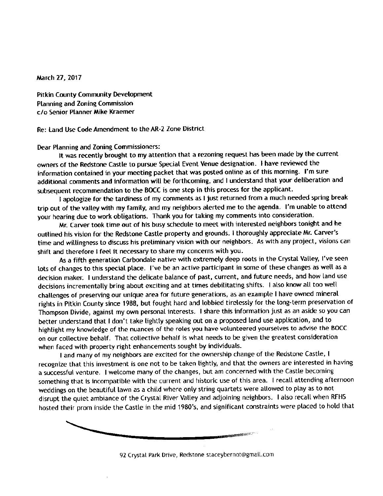March 27, 2017

Pitkin County Community Development Planning and Zoning Commission c/o Senior Planner Mike Kraemer

Re: Land Use Code Amendment to the AR-2 Zone District

Dear Planning and Zoning Commissioners:<br>It was recently brought to my attention that a rezoning request has been made by the current owners of the Redstone Castle to pursue Special Event Venue designation. I have reviewed the information contained in your meeting packet that was posted online as of this morning. I'm sure infination contained in your meeting packet that was posted online as of this morning. It masses additional comments and information will be forthcoming, and <sup>I</sup> understand that your deliberation and subsequent recommendation to the BOCC is one step in this process for the applicant.<br>I apologize for the tardiness of my comments as I just returned from a much needed spring break

trip out of the valley with my family, and my neighbors alerted me to the agenda. I'm unable to attend your hearing due to work obligations. Thank you for taking my comments into consideration.

Mr. Carver took time out of his busy schedule to meet with interested neighbors tonight and he outlined his vision for the Redstone Castle property and grounds. I thoroughly appreciate Mr. Carver's time and willingness to discuss his preliminary vision with our neighbors. As with any project, visions can shift and therefore I feel it necessary to share my concerns with you.

As a fifth generation Carbondale native with extremely deep roots in the Crystal Valley, I've seen lots of changes to this special place. I've be an active participant in some of these changes as well as a decision maker. I understand the delicate balance of past, current, and future needs, and how land use decisions incrementally bring about exciting and at times debilitating shifts. I also know all too well challenges of preserving our unique area for future generations, as an example I have owned mineral rights in Pitkin County since 1988, but fought hard and lobbied tirelessly for the long-term preservation of Thompson Divide, against my own personal interests. I share this information just as an aside so you can better understand that I don't take lightly speaking out on a proposed land use application, and to highlight my knowledge of the nuances of the roles you have volunteered yourselves to advise the BOCC on our collective behalf. That collective behalf is what needs to be given the greatest consideration when faced with property right enhancements sought by individuals.

I and many of my neighbors are excited for the ownership change of the Redstone Castle, I recognize that this investment is one not to be taken lightly, and that the owners are interested in having a successful venture. I welcome many of the changes, but am concerned with the Castle becoming something that is incompatible with the current and historic use of this area. I recall attending afternoon weddings on the beautiful lawn as a child where only string quartets were allowed to play as to not disrupt the quiet ambiance of the Crystal River Valley and adjoining neighbors. I also recall when RFHS disrupt the quiet ambiance of the Crystal River Valley and adjoining neighbors.<br>In the call also recall the Crystal in the mid 4000's, and circuiticant coostraints were placed to hold the hosted their prom inside the Castle in the mid 1980' s, and significant constraints were placed to hold that

92 Crystal Park Drive, Redstone staceybernot@gmail.com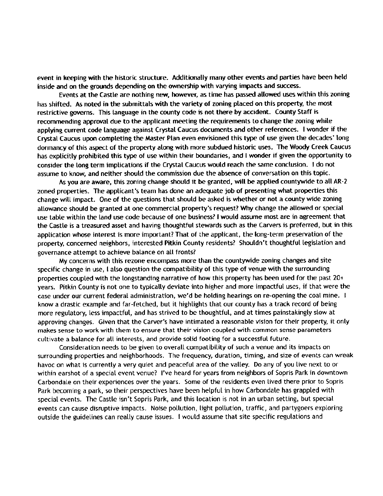event in keeping with the historic structure. Additionally many other events and parties have been held inside and on the grounds depending on the ownership with varying impacts and success.

Events at the Castle are nothing new, however, as time has passed allowed uses within this zoning has shifted. As noted in the submittals with the variety of zoning placed on this property, the most restrictive governs. This language in the county code is not there by accident. County Staff is recommending approval due to the applicant meeting the requirements to change the zoning while applying current code language against Crystal Caucus documents and other references. I wonder if the Crystal Caucus upon completing the Master Plan even envisioned this type of use given the decades' long dormancy of this aspect of the property along with more subdued historic uses. The Woody Creek Caucus has explicitly prohibited this type of use within their boundaries, and <sup>I</sup> wonder if given the opportunity to consider the long term implications if the Crystal Caucus would reach the same conclusion. I do not assume to know, and neither should the commission due the absence of conversation on this topic.

As you are aware, this zoning change should it be granted, will be applied countywide to all AR-2 zoned properties. The applicant's team has done an adequate job of presenting what properties this change will impact. One of the questions that should be asked is whether or not a county wide zoning allowance should be granted at one commercial property' <sup>s</sup> request?Why change the allowed or special use table within the land use code because of one business? I would assume most are in agreement that the Castle is a treasured asset and having thoughtful stewards such as the Carvers is preferred, but in this application whose interest is more important? That of the applicant, the long-term preservation of the property, concerned neighbors, interested Pitkin County residents? Shouldn't thoughtful legislation and governance attempt to achieve balance on all fronts?

My concerns with this rezone encompass more than the countywide zoning changes and site specific change in use, I also question the compatibility of this type of venue with the surrounding properties coupled with the longstanding narrative of how this property has been used for the past 20+ years. Pitkin County is not one to typically deviate into higher and more impactful uses, if that were the case under our current federal administration, we'd be holding hearings on re-opening the coal mine. I know <sup>a</sup> drastic example and far-fetched, but it highlights that our county has <sup>a</sup> track record of being more regulatory, less impactful, and has strived to be thoughtful, and at times painstakingly slow at approving changes. Given that the Carver's have intimated a reasonable vision for their property, it only makes sense to work with them to ensure that their vision coupled with common sense parameters cultivate a balance for all interests, and provide solid footing for <sup>a</sup> successful future.

Consideration needs to be given to overall compatibility of such <sup>a</sup> venue and its impacts on surrounding properties and neighborhoods. The frequency, duration, timing, and size of events can wreak havoc on what is currently a very quiet and peaceful area of the valley. Do any of you live next to or within earshot of a special event venue? I've heard for years from neighbors of Sopris Park in downtown Carbondale on their experiences over the years. Some of the residents even lived there prior to Sopris Park becoming <sup>a</sup> park, so their perspectives have been helpful in how Carbondale has grappled with special events. The Castle isn't Sopris Park, and this location is not in an urban setting, but special events can cause disruptive impacts. Noise pollution, light pollution, traffic, and partygoers exploring outside the guidelines can really cause issues. <sup>I</sup> would assume that site specific regulations and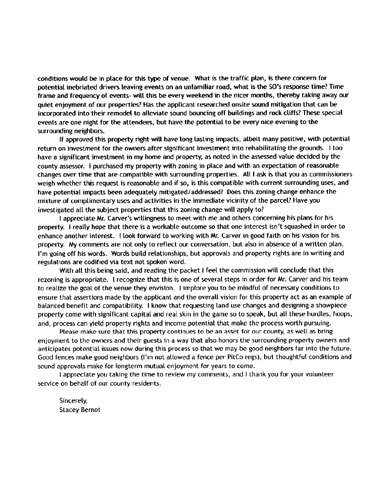conditions would be in place for this type of venue. What is the traffic plan, is there concern for potential inebriated drivers leaving events on an unfamiliar road, what is the SO's response time? Time frame and frequency of events- will this be every weekend in the nicer months, thereby taking away our quiet enjoyment of our properties?Has the applicant researched onsite sound mitigation that can be incorporated into their remodel to alleviate sound bouncing off buildings and rock cliffs?These special events are one night for the attendees, but have the potential to be every nice evening to the surrounding neighbors.

If approved this property nght will have long lasting impacts, albeit many positive, with potential return on investment for the owners after significant investment into rehabilitating the grounds. I too have a significant investment in my home and property, as noted in the assessed value decided by the county assessor. I purchased my property with zoning in place and with an expectation of reasonable changes over time that are compatible with surrounding properties. All <sup>I</sup> ask is that you as commissioners weigh whether this request is reasonable and if so, is this compatible with current surrounding uses, and have potential impacts been adequately mitigated/ addressed? Does this zoning change enhance the mixture of complimentary uses and activities in the immediate vicinity of the parcel? Have you investigated all the subject properties that this zoning change will apply to?

I appreciate Mr. Carver's willingness to meet with me and others concerning his plans for his property. I really hope that there is <sup>a</sup> workable outcome so that one interest isn' t squashed in order to enhance another interest. I look forward to working with Mr. Carver in good faith on his vision for his property. My comments are not only to reflect our conversation, but also in absence of <sup>a</sup> written plan, I'm going off his words. Words build relationships, but approvals and property rights are in writing and regulations are codified via text not spoken word.

With all this being said, and reading the packet <sup>I</sup> feel the commission will conclude that this rezoning is appropriate. I recognize that this is one of several steps in order for Mr. Carver and his team to realize the goal of the venue they envision. I implore you to be mindful of necessary conditions to ensure that assertions made by the applicant and the overall vision for this property act as an example of balanced benefit and compatibility. I know that requesting land use changes and designing <sup>a</sup> showpiece property come with significant capital and real skin in the game so to speak, but all these hurdles, hoops, and, process can yield property nghts and income potential that make the process worth pursuing.

Please make sure that this property continues to be an asset for our county, as well as bring enjoyment to the owners and their guests in <sup>a</sup> way that also honors the surrounding property owners and anticipates potential issues now during this process so that we may be good neighbors far into the future. Good fences make good neighbors (I'm not allowed a fence per PitCo regs), but thoughtful conditions and sound approvals make for longterm mutual enjoyment for years to come.

<sup>I</sup> appreciate you taking the time to review my comments, and <sup>I</sup> thank you for your volunteer service on behalf of our county residents.

Sincerely, Stacey Bernot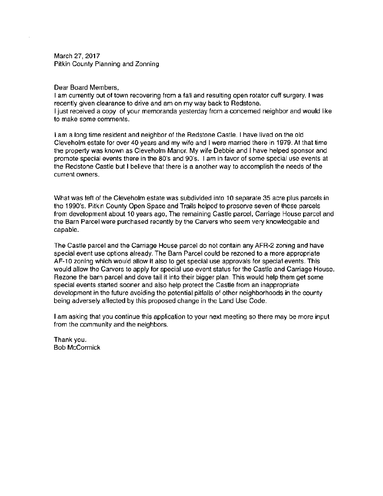March 27, 2017 Pitkin County Planning and Zonning

#### Dear Board Members,

<sup>I</sup> am currently out of town recovering from a fall and resulting open rotator cuff surgery. I was recently given clearance to drive and am on my way back to Redstone. <sup>I</sup> just received a copy of your memoranda yesterday from a concerned neighbor and would like to make some comments.

<sup>I</sup> am a long time resident and neighbor of the Redstone Castle. I have lived on the old Cleveholm estate for over 40 years and my wife and <sup>I</sup> were married there in 1979 At that time the property was known as Cleveholm Manor. My wife Debbie and <sup>I</sup> have helped sponsor and promote special events there in the 80's and 90's. I am in favor of some special use events at the Redstone Castle but <sup>I</sup> believe that there is a another way to accomplish the needs of the current owners.

What was left of the Cleveholm estate was subdivided into 10 separate 35 acre plus parcels in the 1990's. Pitkin County Open Space and Trails helped to preserve seven of those parcels from development about 10 years ago, The remaining Castle parcel, Carriage House parcel and the Barn Parcel were purchased recently by the Carvers who seem very knowledgable and capable.

The Castle parcel and the Carriage House parcel do not contain any AFR-2 zoning and have special event use options already. The Barn Parcel could be rezoned to a more appropriate AF- 10 zoning which would allow it also to get special use approvals for special events. This would allow the Carvers to apply for special use event status for the Castle and Carriage House. Rezone the barn parcel and dove tail it into their bigger plan. This would help them get some special events started sooner and also help protect the Castle from an inappropriate development in the future avoiding the potential pitfalls of other neighborhoods in the county being adversely affected by this proposed change in the Land Use Code.

<sup>I</sup> am asking that you continue this application to your next meeting so there may be more input from the community and the neighbors.

Thank you. Bob McCormick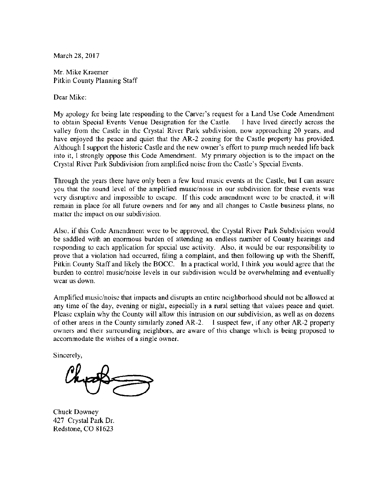March 28, 2017

Mr. Mike Kraemer Pitkin County Planning Staff

Dear Mike:

My apology for being late responding to the Carver's request for a Land Use Code Amendment<br>to obtain Special Events Venue Designation for the Castle. I have lived directly across the to obtain Special Events Venue Designation for the Castle. valley from the Castle in the Crystal River Park subdivision, now approaching 20 years, and have enjoyed the peace and quiet that the AR-2 zoning for the Castle property has provided. Although I support the historic Castle and the new owner' <sup>s</sup> effort to pump much needed life back into it, I strongly oppose this Code Amendment. My primary objection is to the impact on the Crystal River Park Subdivision from amplified noise from the Castle's Special Events.

Through the years there have only been <sup>a</sup> few loud music events at the Castle, but I can assure you that the sound level of the amplified music/noise in our subdivision for these events was very disruptive and impossible to escape. If this code amendment were to be enacted, it will remain in place for all future owners and for any and all changes to Castle business plans, no matter the impact on our subdivision

Also, if this Code Amendment were to he approved, the Crystal River Park Subdivision would be saddled with an enormous burden of attending an endless number of County hearings and responding to each application for special use activity. Also, it would be our responsibility to prove that <sup>a</sup> violation had occurred, filing <sup>a</sup> complaint, and then following up with the Sheriff, Pitkin County Staff and likely the BOCC. In <sup>a</sup> practical world, I think you would agree that the burden to control music/noise levels in our subdivision would be overwhelming and eventually wear us down

Amplified music/noise that impacts and disrupts an entire neighborhood should not be allowed at any time of the day, evening or night, especially in <sup>a</sup> rural setting that values peace and quiet. Please explain why the County will allow this intrusion on our subdivision, as well as on dozens of other areas in the County similarly zoned AR-2. I suspect few, if any other AR-2 property owners and their surrounding neighbors, are aware of this change which is being proposed to accommodate the wishes of <sup>a</sup> single owner.

Sincerely,

Chuck Downey 427 Crystal Park Dr. Redstone, CO 81623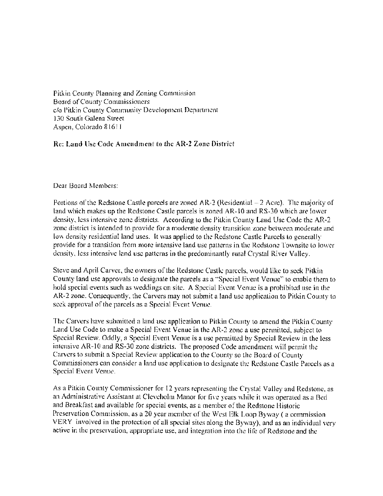Pitkin County Planning and Zoning Commission Board of County Commissioners c/o Pitkin County Community Development Department 130 South Galena Street Aspen. Colorado <sup>R</sup> 161 <sup>1</sup>

## Re: Land Use Code Amendment to the AR-2 Zone District

Dear Board Members:

Portions of the Redstone Castle parcels are zoned AR-2 (Residential – 2 Acre). The majority of land which makes up the Redstone Castle parcels is zoned AR- 10 and RS- 30 which are lower density, less intensive zone districts. According to the Pitkin County Land Use Code the AR-2 zone district is intended to provide for a moderate density transition zone between moderate and low density residential land uses. It was applied to the Redstone Castle Parcels to generally provide for a transition from more intensive land use patterns in the Redstone Townsite to lower density, less intensive land use patterns in the predominantly rural Crystal River Valley.

Steve and April Carver, the owners of the Redstone Castle parcels, would like to seek Pitkin County land use approvals to designate the parcels as a "Special Event Venue" to enable them to hold special events such as weddings on site. A Special Event Venue is a prohibited use in the AR-2 zone. Consequently, the Carvers may not submit a land use application to Pitkin County to seek approval of the parcels as a Special Event Venue.

The Carvers have submitted a land use application to Pitkin County to amend the Pitkin County Land Use Code to make a Special Event Venue in the AR-2 zone a use permitted, subject to Special Review. Oddly, a Special Event Venue is a use permitted by Special Review in the less intensive AR-10 and RS-30 zone districts. The proposed Code amendment will permit the Carvers to submit a Special Review application to the County so the Board of County Commissioners can consider a land use application to designate the Redstone Castle Parcels as <sup>a</sup> Special Event Venue.

As a Pitkin County Commissioner for 12 years representing the Crystal Valley and Redstone, as an Administrative Assistant at Cleveholm Manor for five years while it was operated as a Bed and Breakfast and available for special events, as <sup>a</sup> member of the Redstone Historic Preservation Commission, as <sup>a</sup> 20 year member of the West Elk Loop Byway( a commission VERY involved in the protection of all special sites along the Byway), and as an individual very active in the preservation, appropriate use, and integration into the life of Redstone and the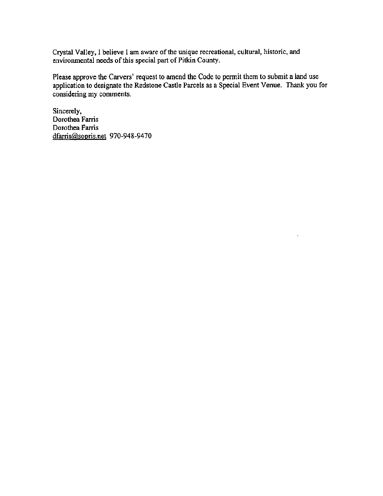Crystal Valley, I believe I am aware of the unique recreational, cultural, historic, and environmental needs of this special part of Pitkin County.

Please approve the Carvers' request to amend the Code to permit them to submit a land use application to designate the Redstone Castle Parcels as a Special Event Venue. Thank you for considering my comments.

Sincerely, Dorothea Farris Dorothea Farris dfarris@sopris.net 970-948-9470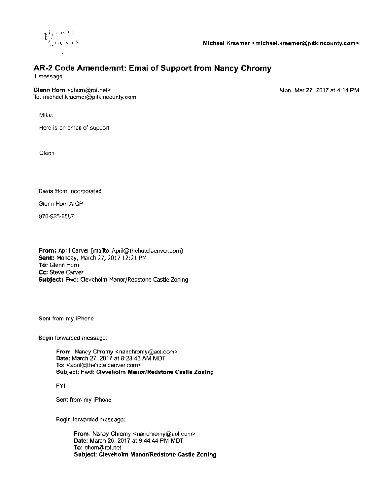

## AR-2 Code Amendemnt: Emai of Support from Nancy Chromy

<sup>1</sup> message

Glenn Horn <ghom@rof.net> Mon, Mar 27, 2017 at 4:14 PM To: michael.kraemer@pitkincounty.com

Mike

Here is an email of support

Glenn

Davis Horn Incorporated

Glenn Horn AICP

970-925- 6587

From: April Carver [mailto: April@thehoteldenver.com] Sent: Monday, March 27, 2017 12: 21 PM To: Glenn Horn Cc: Steve Carver Subject: Fwd: Cleveholm Manor/Redstone Castle Zoning

Sent from my iPhone

Begin forwarded message

From: Nancy Chromy < nanchromy@aol com> Date: March 27, 2017 at 8:28:43 AM MDT To: <april@thehoteldenver.com> Subject: Fwd: Cleveholm Manor/Redstone Castle Zoning

FYI

Sent from my iPhone

Begin forwarded message:

From: Nancy Chromy < nanchromy@aol corn> Date: March 26, 2017 at 9:44:44 PM MDT To: ghom@rof net Subject: Cleveholm Manor/Redstone Castle Zoning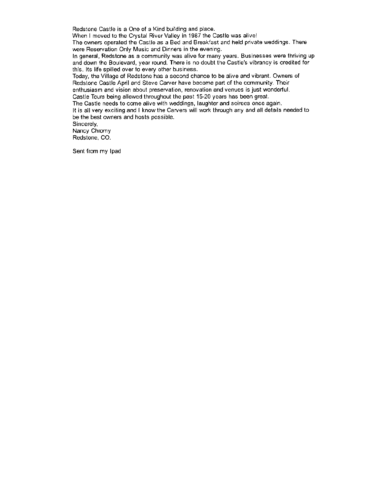Redstone Castle is a One of a Kind building and place

When I moved to the Crystal River Valley in 1987 the Castle was alive!

The owners operated the Castle as a Bed and Breakfast and held private weddings. There were Reservation Only Music and Dinners in the evening

In general, Redstone as a community was alive for many years. Businesses were thriving up and down the Boulevard, year round. There is no doubt the Castle's vibrancy is credited for this. Its life spilled over to every other business.

Today, the Village of Redstone has a second chance to be alive and vibrant. Owners of Redstone Castle April and Steve Carver have become part of the community Their enthusiasm and vision about preservation, renovation and venues is just wonderful Castle Tours being allowed throughout the past 15-20 years has been great

The Castle needs to come alive with weddings, laughter and soirees once again

It is all very exciting and <sup>I</sup> know the Carvers will work through any and all details needed to be the best owners and hosts possible

Sincerely,

Nancy Chromy Redstone, CO.

Sent from my Ipad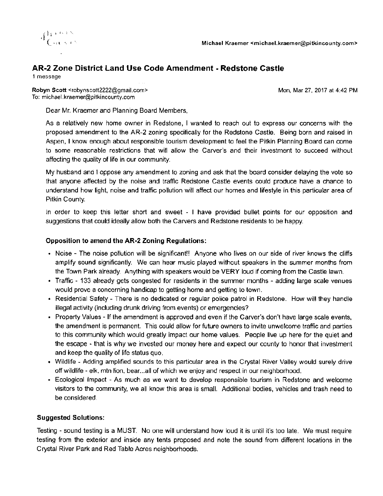

## AR-2 Zone District Land Use Code Amendment - Redstone Castle

<sup>1</sup> message

Robyn Scott< robynscott2222@gmail corn> Mon, Mar 27, 2017 at 4. 42 PM To: michael kraemer@pitkincounty.com

Dear Mr. Kraemer and Planning Board Members,

As a relatively new home owner in Redstone, I wanted to reach out to express our concerns with the proposed amendment to the AR-2 zoning specifically for the Redstone Castle. Being born and raised in Aspen, I know enough about responsible tourism development to feel the Pitkin Planning Board can come to some reasonable restrictions that will allow the Carver's and their investment to succeed without affecting the quality of life in our community

My husband and <sup>I</sup> oppose any amendment to zoning and ask that the board consider delaying the vote so that anyone affected by the noise and traffic Redstone Castle events could produce have a chance to understand how light, noise and traffic pollution will affect our homes and lifestyle in this particular area of Pitkin County

In order to keep this letter short and sweet - I have provided bullet points for our opposition and suggestions that could ideally allow both the Carvers and Redstone residents to be happy.

### Opposition to amend the AR-2 Zoning Regulations:

- Noise The noise pollution will be significant!' Anyone who lives on our side of river knows the cliffs amplify sound significantly. We can hear music played without speakers in the summer months from the Town Park already. Anything with speakers would be VERY loud if coming from the Castle lawn
- Traffic 133 already gets congested for residents in the summer months adding large scale venues would prove a concerning handicap to getting home and getting to town
- Residential Safety There is no dedicated or regular police patrol in Redstone. How will they handle illegal activity (including drunk driving from events) or emergencies?
- Property Values If the amendment is approved and even if the Carver's don't have large scale events, the amendment is permanent. This could allow for future owners to invite unwelcome traffic and parties to this community which would greatly impact our home values People live up here for the quiet and the escape - that is why we invested our money here and expect our county to honor that investment and keep the quality of life status quo
- Wildlife Adding amplified sounds to this particular area in the Crystal River Valley would surely drive off wildlife - elk, mtn hon, bear...all of which we enjoy and respect in our neighborhood.
- Ecological Impact As much as we want to develop responsible tourism in Redstone and welcome visitors to the community, we all know this area is small. Additional bodies, vehicles and trash need to be considered

## Suggested Solutions:

Testing - sound testing is a MUST. No one will understand how loud it is until it's too late. We must require testing from the exterior and inside any tents proposed and note the sound from different locations in the Crystal River Park and Red Table Acres neighborhoods.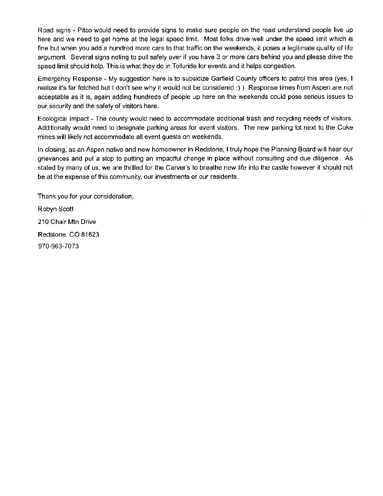Road signs - Pitco would need to provide signs to make sure people on the road understand people live up here and we need to get home at the legal speed limit. Most folks drive well under the speed limit which is fine but when you add a hundred more cars to that traffic on the weekends, it poses a legitimate quality of life argument. Several signs noting to pull safely over if you have 3 or more cars behind you and please drive the speed limit should help. This is what they do in Telluride for events and it helps congestion.

Emergency Response - My suggestion here is to subsidize Garfield County officers to patrol this area ( yes, I realize it's far fetched but I don't see why it would not be considered ()) Response times from Aspen are not acceptable as it is, again adding hundreds of people up here on the weekends could pose serious issues to our security and the safety of visitors here.

Ecological Impact - The county would need to accommodate additional trash and recycling needs of visitors Additionally would need to designate parking areas for event visitors. The new parking lot next to the Coke mines will likely not accommodate all event guests on weekends

In closing, as an Aspen native and new homeowner in Redstone, I truly hope the Planning Board will hear our grievances and put a stop to putting an impactful change in place without consulting and due diligence. As stated by many of us, we are thrilled for the Carver's to breathe new life into the castle however it should not be at the expense of this community, our investments or our residents

Thank you for your consideration, Robyn Scott 210 Chair Mtn Drive Redstone, CO 81623 970- 963- 7073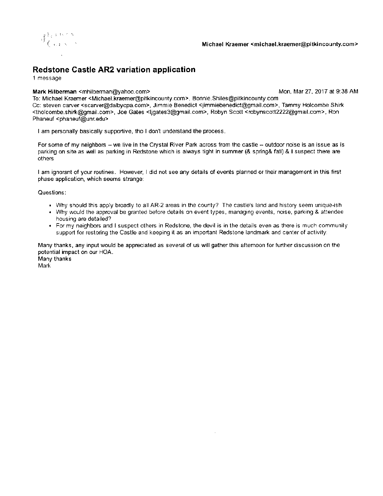

# Redstone Castle AR2 variation application

<sup>1</sup> message

#### Mark Hilberman <mhilberman@yahoo.com> Mon, Mar 27, 2017 at 9:38 AM

To. Michael Kraemer< Michael. kraemer@pitkincounty corn>, Bonnie Shiles@pitkincounty corn Cc: steven carver < scarver@dalbycpa.com>, Jimmie Benedict < jimmiebenedict@gmail.com>, Tammy Holcombe Shirk tholcombe shirk@gmail. com>, Joe Gates < ligates3@gmail corn>, Robyn Scott < mbynscott2222@gmail corn>, Ron Phaneuf <phaneuf@unr.edu>

<sup>I</sup> am personally basically supportive, iho <sup>I</sup> don't understand the process

For some of my neighbors —we live in the Crystal River Park across from the castle —outdoor noise is an issue as is parking on site as well as parking in Redstone which is always tight in summer (& spring& fall) & I suspect there are others

I am ignorant of your routines. However, I did not see any details of events planned or their management in this first phase application, which seems strange

Questions

- Why should this apply broadly to all AR-2 areas in the county? The castle's land and history seem unique- ish
- Why would the approval be granted before details on event types, managing events, noise, parking & attendee housing are detailed?
- For my neighbors and <sup>I</sup> suspect others in Redstone, the devil is in the details even as there is much community support for restoring the Castle and keeping it as an important Redstone landmark and center of activity.

Many thanks, any input would be appreciated as several of us will gather this afternoon for further discussion on the potential impact on our HOA Many thanks

Mark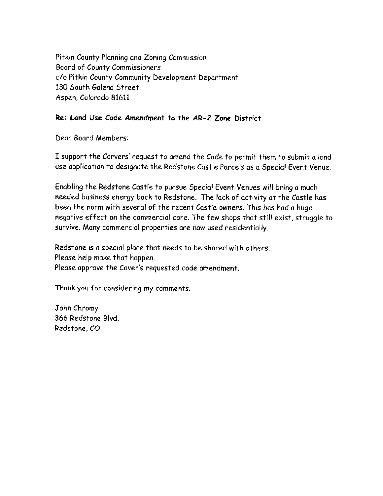Pitkin County Planning and Zoning Commission Board of County Commissioners c/o Pitkin County Community Development Department 130 South Galena Street Aspen, Colorado 81611

## Re: Land Use Code Amendment to the AR- 2 Zone District

Dear Board Members:

I support the Carvers' request to amend the Code to permit them to submit <sup>a</sup> land use application to designate the Redstone Castle Parcels as a Special Event Venue

Enabling the Redstone Castle to pursue Special Event Venues will bring <sup>a</sup> much needed business energy back to Redstone. The lack of activity at the Castle has been the norm with several of the recent Castle owners. This has had a huge negative effect on the commercial core. The few shops that still exist, struggle to survive. Many commercial properties are now used residentially.

Redstone is a special place that needs to be shared with others. Please help make that happen Please approve the Caver's requested code amendment.

Thank you for considering my comments.

John Chromy 366 Redstone Blvd. Redstone, CO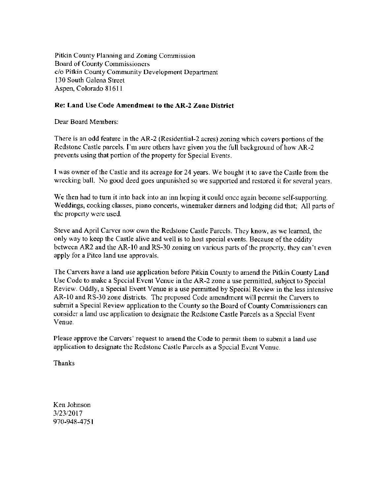Pitkin County Planning and Zoning Commission Board of County Commissioners c/o Pitkin County Community Development Department 130 South Galena Street Aspen, Colorado 81611

### Re: Land Use Code Amendment to the AR-2 Zone District

Dear Board Members

There is an odd feature in the AR-2 (Residential-2 acres) zoning which covers portions of the Redstone Castle parcels. I'm sure others have given you the full background of how AR-2 prevents using that portion of the property for Special Events

I was owner of the Castle and its acreage for 24 years. We bought it to save the Castle from the wrecking ball. No good deed goes unpunished so we supported and restored it for several years.

We then had to turn it into back into an inn hoping it could once again become self-supporting. Weddings, cooking classes, piano concerts, winemaker dinners and lodging did that; All parts of the property were used

Steve and April Carver now own the Redstone Castle Parcels They know, as we learned, the only way to keep the Castle alive and well is to host special events. Because of the oddity between AR2 and the AR-10 and RS-30 zoning on various parts of the property, they can't even apply for <sup>a</sup> Pitco land use approvals.

The Carvers have a land use application before Pitkin County to amend the Pitkin County Land Use Code to make <sup>a</sup> Special Event Venue in the AR-2 zone <sup>a</sup> use permitted, subject to Special Review. Oddly, a Special Event Venue is a use permitted by Special Review in the less intensive AR-10 and RS-30 zone districts. The proposed Code amendment will permit the Carvers to submit <sup>a</sup> Special Review application to the County so the Board of County Commissioners can consider <sup>a</sup> land use application to designate the Redstone Castle Parcels as a Special Event Venue.

Please approve the Carvers' request to amend the Code to permit them to submit a land use application to designate the Redstone Castle Parcels as <sup>a</sup> Special Event Venue.

Thanks

Ken Johnson 3/23/2017 970-948-4751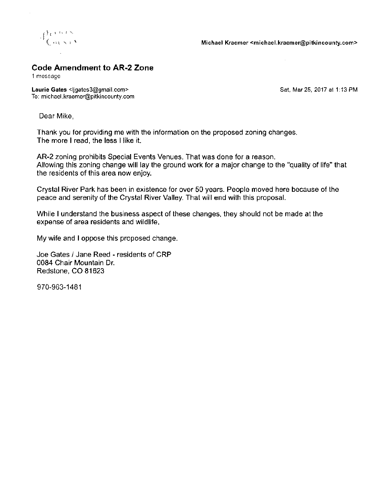

## Code Amendment to AR-2 Zone

<sup>1</sup> message

 $\bar{z}$ 

Laurie Gates < ligates 3@gmail.com> Sat, Mar 25, 2017 at 1:13 PM To: michael.kraemer@pitkincounty.com

Dear Mike,

Thank you for providing me with the information on the proposed zoning changes. The more <sup>I</sup> read, the less <sup>I</sup> like it.

AR-2 zoning prohibits Special Events Venues. That was done for a reason. Allowing this zoning change will lay the ground work for a major change to the " quality of life" that the residents of this area now enjoy.

Crystal River Park has been in existence for over 50 years. People moved here because of the peace and serenity of the Crystal River Valley. That will end with this proposal.

While <sup>I</sup> understand the business aspect of these changes, they should not be made at the expense of area residents and wildlife.

My wife and <sup>I</sup> oppose this proposed change.

Joe Gates / Jane Reed - residents of CRP 0084 Chair Mountain Dr. Redstone, CO 81623

970-963- 1481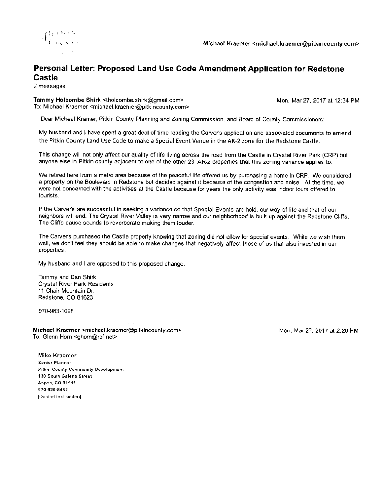

## Personal Letter: Proposed Land Use Code Amendment Application for Redstone Castle

2 messages

Tammy Holcombe Shirk <tholcombe.shirk@gmail.com> Mon, Mar 27, 2017 at 12:34 PM To: Michael Kraemer <michael.kraemer@pitkincounty.com>

Dear Micheal Kramer, Pitkin County Planning and Zoning Commission, and Board of County Commissioners

My husband and <sup>I</sup> have spent a great deal of time reading the Carvers application and associated documents to amend the Pitkin County Land Use Code to make a Special Event Venue in the AR-2 zone for the Redstone Castle.

This change will not only affect our quality of life living across the road from the Castle in Crystal River Park (CRP) but anyone else in Pitkin county adjacent to one of the other 23 AR-2 properties that this zoning variance applies to

We retired here from a metro area because of the peaceful life offered us by purchasing a home in CRP. We considered a property on the Boulevard in Redstone but decided against it because of the congestion and noise At the time, we were not concerned with the activities at the Castle because for years the only activity was indoor tours offered to tourists.

If the Carver's are successful in seeking a vanance so that Special Events are held, our way of life and that of our neighbors will end. The Crystal River Valley is very narrow and our neighborhood is built up against the Redstone Cliffs The Cliffs cause sounds to reverberate making them louder

The Carvers purchased the Castle property knowing that zoning did not allow for special events While we wish them well, we don't feel they should be able to make changes that negatively affect those of us that also invested in our properties

My husband and I are opposed to this proposed change.

Tammy and Dan Shirk Crystal River Park Residents <sup>11</sup> Chair Mountain Dr. Redstone, CO 81623

970-963-1098

Michael Kraemer <michael.kraemer@pitkincounty.com> Mon, Mar 27, 2017 at 2:26 PM To: Glenn Hom < ghom@rof.net>

Mike Kraemer Senior Planner Pitkin County community Development 190 South Galena Street Aspen, CO 81611 970-920-5482 [Quoted text hidden]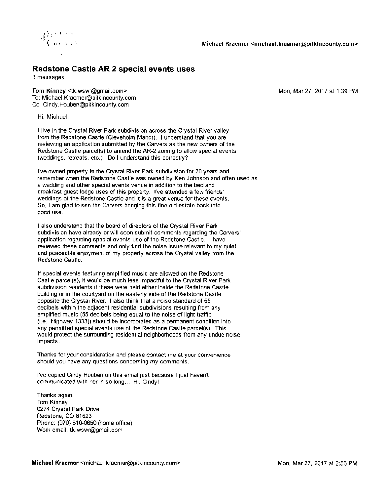

## Redstone Castle AR 2 special events uses

3 messages

Tom Kinney< tk wswr@gmail corn> Mon, Mar 27, 2017 at 139 PM To: Michael.Kraemer@pitkincounty.com Cc: Cindy. Houben@pitkincounty.com

Hi, Michael

<sup>I</sup> live in the Crystal River Park subdivision across the Crystal River valley from the Redstone Castle (Cleveholm Manor). I understand that you are reviewing an application submitted by the Carvers as the new owners of the Redstone Castle parcel(s) to amend the AR-2 zoning to allow special events (weddings, retreats, etc.). Do I understand this correctly?

I've owned property in the Crystal River Park subdivision for 20 years and remember when the Redstone Castle was owned by Ken Johnson and often used as a wedding and other special events venue in addition to the bed and breakfast guest lodge uses of this property. I've attended a few friends' weddings at the Redstone Castle and it is a great venue for these events. So, I am glad to see the Carvers bringing this fine old estate back into good use

<sup>I</sup> also understand that the board of directors of the Crystal River Park subdivision have already or will soon submit comments regarding the Carvers' application regarding special events use of the Redstone Castle. I have reviewed these comments and only find the noise issue relevant to my quiet and peaceable enjoyment of my property across the Crystal valley from the Redstone Castle

If special events featunng amplified music are allowed on the Redstone Castle parcel(s), it would be much less impactful to the Crystal River Park subdivision residents if these were held either inside the Redstone Castle building or in the courtyard on the easterly side of the Redstone Castle opposite the Crystal River. I also think that a noise standard of 55 decibels within the adjacent residential subdivisions resulting from any amplified music (55 decibels being equal to the noise of light traffic  $(i.e., High way 1333)$ ) should be incorporated as a permanent condition into any permitted special events use of the Redstone Castle parcel(s). This would protect the surrounding residential neighborhoods from any undue noise impacts.

Thanks for your consideration and please contact me at your convenience should you have any questions concerning my comments

I've copied Cindy Houben on this email just because I just haven't communicated with her in so long... Hi, Cindy!

Thanks again, Tom Kinney 0274 Crystal Park Drive Redstone, CO 81623 Phone: (970) 510-0650 (home office) Work email: tk.wswr@gmail.com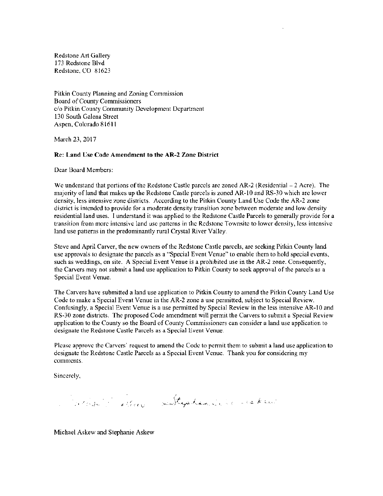Redstone Art Gallery 173 Redstone Blvd Redstone, CO 81623

Pitkin County Planning and Zoning Commission Board of County Commissioners c/o Pitkin County Community Development Department 130 South Galena Street Aspen, Colorado 81611

March 23, 2017

#### Re: Land Use Code Amendment to the AR-2 Zone District

Dear Board Members

We understand that portions of the Redstone Castle parcels are zoned  $AR-2$  (Residential  $-2$  Acre). The majority of land that makes up the Redstone Castle parcels is zoned AR- 10 and RS- 30 which are lower density, less intensive zone districts. According to the Pitkin County Land Use Code the AR-2 zone district is intended to provide for a moderate density transition zone between moderate and low density residential land uses. I understand it was applied to the Redstone Castle Parcels to generally provide for <sup>a</sup> transition from more intensive land use patterns in the Redstone Townsite to lower density, less intensive land use patterns in the predominantly rural Crystal River Valley.

Steve and April Carver, the new owners of the Redstone Castle parcels, are seeking Pitkin County land use approvals to designate the parcels as a" Special Event Venue" to enable them to hold special events, such as weddings, on site. A Special Event Venue is a prohibited use in the AR-2 zone. Consequently, the Carvers may not submit <sup>a</sup> land use application to Pitkin County to seek approval of the parcels as <sup>a</sup> Special Event Venue.

The Carters have submitted a land use application to Pitkin County to amend the Pitkin County Land Use Code to make <sup>a</sup> Special Event Venue in the AR-2 zone a use permitted, subject to Special Review Confusingly, a Special Event Venue is <sup>a</sup> use permitted by Special Review in the less intensive AR- 10 and RS- 30 zone districts. The proposed Code amendment will permit the Carvers to submit <sup>a</sup> Special Review application to the County so the Board of County Commissioners can consider <sup>a</sup> land use application to designate the Redstone Castle Parcels as a Special Event Venue

Please approve the Carvers' request to amend the Code to permit them to submit a land use application to designate the Redstone Castle Parcels as a Special Event Venue. Thank you for considering my comments

Sincerely,

Imon allen Stycken alle acker

Michael Askew and Stephanie Askew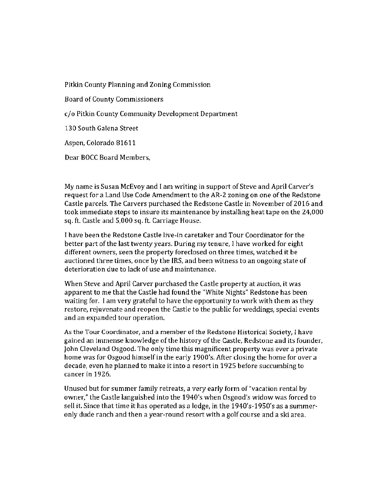Pitkin County Planning and Zoning Commission

Board of County Commissioners

c/ <sup>o</sup> Pitkin County Community Development Department

130 South Galena Street

Aspen, Colorado 81611

Dear BOCC Board Members,

My name is Susan McEvoy and I am writing in support of Steve and April Carver's request for a Land Use Code Amendment to the AR-2 zoning on one of the Redstone Castle parcels. The Carvers purchased the Redstone Castle in November of 2016 and took immediate steps to insure its maintenance by installing heat tape on the 24,000 sq. ft. Castle and 5, 000 sq. ft. Carriage House.

<sup>I</sup> have been the Redstone Castle live-in caretaker and Tour Coordinator for the better part of the last twenty years. During my tenure, I have worked for eight different owners, seen the property foreclosed on three times, watched it be auctioned three times, once by the IRS, and been witness to an ongoing state of deterioration due to lack of use and maintenance.

When Steve and April Carver purchased the Castle property at auction, it was apparent to me that the Castle had found the " White Nights" Redstone has been waiting for. I am very grateful to have the opportunity to work with them as they restore, rejuvenate and reopen the Castle to the public for weddings, special events and an expanded tour operation.

As the Tour Coordinator, and <sup>a</sup> member of the Redstone Historical Society, I have gained an immense knowledge of the history of the Castle, Redstone and its founder, John Cleveland Osgood. The only time this magnificent property was ever <sup>a</sup> private home was for Osgood himself in the early 1900's. After closing the home for over a decade, even he planned to make it into <sup>a</sup> resort in 1925 before succumbing to cancer in 1926.

Unused but for summer family retreats, a very early form of" vacation rental by owner," the Castle languished into the 1940's when Osgood's widow was forced to sell it. Since that time it has operated as a lodge, in the 1940's-1950's as a summeronly dude ranch and then <sup>a</sup> year-round resort with <sup>a</sup> golf course and <sup>a</sup> ski area.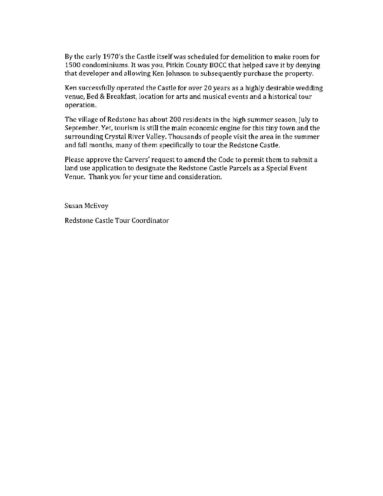By the early 1970's the Castle itself was scheduled for demolition to make room for 1500 condominiums It was you, Pitkin County BOCC that helped save it by denying that developer and allowing Ken Johnson to subsequently purchase the property.

Ken successfully operated the Castle for over 20 years as <sup>a</sup> highly desirable wedding venue, Bed& Breakfast, location for arts and musical events and <sup>a</sup> historical tour operation.

The village of Redstone has about 200 residents in the high summer season, July to September. Yet, tourism is still the main economic engine for this tiny town and the surrounding Crystal River Valley. Thousands of people visit the area in the summer and fall months, many of them specifically to tour the Redstone Castle.

Please approve the Carvers' request to amend the Code to permit them to submit <sup>a</sup> land use application to designate the Redstone Castle Parcels as <sup>a</sup> Special Event Venue. Thank you for your time and consideration.

Susan McEvoy

Redstone Castle Tour Coordinator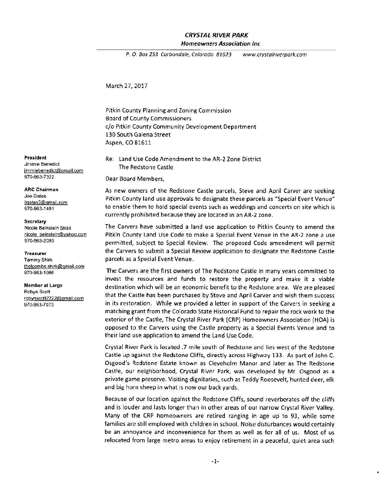#### CRYSTAL RIVER PARK Homeowners Association Inc

P. O. Box 253 Carbondale, Colorado 81623 www.crystalriverpark.com

March 27, 2017

Pitkin County Planning and Zoning Commission Board of County Commissioners c/o Pitkin County Community Development Department 130 South Galena Street Aspen, CO 81611

President **Re. Re. Land Use Code Amendment to the AR-2 Zone District** The Redstone Castle

970-963-7322 Dear Board Members,

ARC Chairman **AS New owners of the Redstone Castle parcels**, Steve and April Carver are seeking Joe Gates<br>
<u>ligates3@gmail.com</u> **Example 20** Pitkin County land use approvals to designate these parcels as "Special Event Venue" 970-963-1481 **to enable them to hold special events such as weddings and concerts on site which is** currently prohibited because they are located in an AR-2 zone.

Nicole Beinstein Strait The Carvers have submitted a land use application to Pitkin County to amend the nicole beinstein@vahoo.com Pitkin County Land Use Code to make a Special Event Venue in the AR-2 zone a use<br>970-963-2080 permitted, subject to Special Review. The proposed Code amendment will permit Treasurer the Carvers to submit <sup>a</sup> Special Review application to designate the Redstone Castle Tammy Shirk parcels as <sup>a</sup> Special Event Venue.

970-963-1098 The Carvers are the first owners of The Redstone Castle in many years committed to invest the resources and funds to restore the property and make it <sup>a</sup> viable Member at Large destination which will be an economic benefit to the Redstone area. We are pleased  $\frac{1}{100}$  that the Castle has been purchased by Steve and April Carver and wish them success  $\frac{1}{20}$ 970-963-7073 in its restoration. While we provided a letter in support of the Carvers in seeking a matching grant from the Colorado State Historical Fund to repair the rock work to the exterior of the Castle, The Crystal River Park ( CRP) Homeowners Association ( HOA) is opposed to the Carvers using the Castle property as <sup>a</sup> Special Events Venue and to their land use application to amend the Land Use Code.

> Crystal River Park is located . <sup>7</sup> mile south of Redstone and lies west of the Redstone Castle up against the Redstone Cliffs, directly across Highway 133. As part of John C. Osgood's Redstone Estate known as Cleveholm Manor and later as The Redstone Castle, our neighborhood, Crystal River Park, was developed by Mr. Osgood as a private game preserve. Visiting dignitaries, such as Teddy Roosevelt, hunted deer, elk and big horn sheep in what is now our back yards

> Because of our location against the Redstone Cliffs, sound reverberates off the cliffs and is louder and lasts longer than in other areas of our narrow Crystal River Valley. Many of the CRP homeowners are retired ranging in age up to 93, while some families are still employed with children in school. Noise disturbances would certainly be an annoyance and inconvenience for them as well as for all of us. Most of us relocated from large metro areas to enjoy retirement in <sup>a</sup> peaceful, quiet area such

# Jimmie Benedict jimmiebenedict@gmail.com

Joe Gates

#### **Secretary**

thoicombe.shirk@gmail.com

Robyn Scott